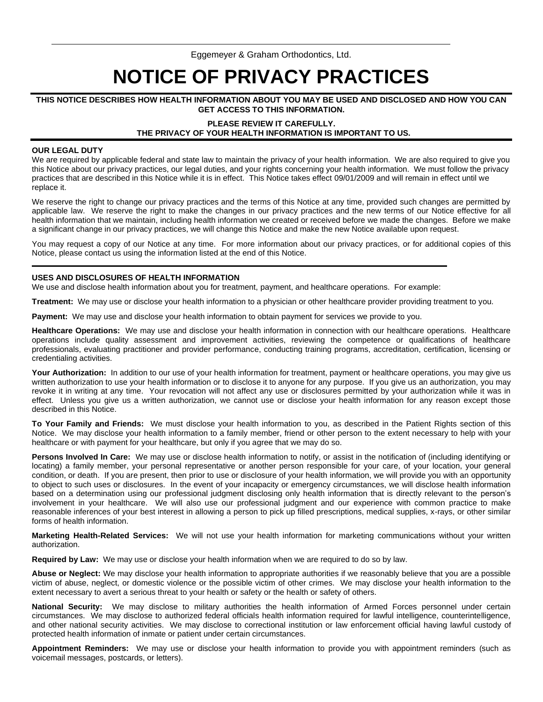Eggemeyer & Graham Orthodontics, Ltd.

# **NOTICE OF PRIVACY PRACTICES**

## **THIS NOTICE DESCRIBES HOW HEALTH INFORMATION ABOUT YOU MAY BE USED AND DISCLOSED AND HOW YOU CAN GET ACCESS TO THIS INFORMATION.**

## **PLEASE REVIEW IT CAREFULLY. THE PRIVACY OF YOUR HEALTH INFORMATION IS IMPORTANT TO US.**

#### **OUR LEGAL DUTY**

We are required by applicable federal and state law to maintain the privacy of your health information. We are also required to give you this Notice about our privacy practices, our legal duties, and your rights concerning your health information. We must follow the privacy practices that are described in this Notice while it is in effect. This Notice takes effect 09/01/2009 and will remain in effect until we replace it.

We reserve the right to change our privacy practices and the terms of this Notice at any time, provided such changes are permitted by applicable law. We reserve the right to make the changes in our privacy practices and the new terms of our Notice effective for all health information that we maintain, including health information we created or received before we made the changes. Before we make a significant change in our privacy practices, we will change this Notice and make the new Notice available upon request.

You may request a copy of our Notice at any time. For more information about our privacy practices, or for additional copies of this Notice, please contact us using the information listed at the end of this Notice.

# **USES AND DISCLOSURES OF HEALTH INFORMATION**

We use and disclose health information about you for treatment, payment, and healthcare operations. For example:

**Treatment:** We may use or disclose your health information to a physician or other healthcare provider providing treatment to you.

**Payment:** We may use and disclose your health information to obtain payment for services we provide to you.

**Healthcare Operations:** We may use and disclose your health information in connection with our healthcare operations. Healthcare operations include quality assessment and improvement activities, reviewing the competence or qualifications of healthcare professionals, evaluating practitioner and provider performance, conducting training programs, accreditation, certification, licensing or credentialing activities.

Your Authorization: In addition to our use of your health information for treatment, payment or healthcare operations, you may give us written authorization to use your health information or to disclose it to anyone for any purpose. If you give us an authorization, you may revoke it in writing at any time. Your revocation will not affect any use or disclosures permitted by your authorization while it was in effect. Unless you give us a written authorization, we cannot use or disclose your health information for any reason except those described in this Notice.

**To Your Family and Friends:** We must disclose your health information to you, as described in the Patient Rights section of this Notice. We may disclose your health information to a family member, friend or other person to the extent necessary to help with your healthcare or with payment for your healthcare, but only if you agree that we may do so.

**Persons Involved In Care:** We may use or disclose health information to notify, or assist in the notification of (including identifying or locating) a family member, your personal representative or another person responsible for your care, of your location, your general condition, or death. If you are present, then prior to use or disclosure of your health information, we will provide you with an opportunity to object to such uses or disclosures. In the event of your incapacity or emergency circumstances, we will disclose health information based on a determination using our professional judgment disclosing only health information that is directly relevant to the person's involvement in your healthcare. We will also use our professional judgment and our experience with common practice to make reasonable inferences of your best interest in allowing a person to pick up filled prescriptions, medical supplies, x-rays, or other similar forms of health information.

**Marketing Health-Related Services:** We will not use your health information for marketing communications without your written authorization.

**Required by Law:** We may use or disclose your health information when we are required to do so by law.

**Abuse or Neglect:** We may disclose your health information to appropriate authorities if we reasonably believe that you are a possible victim of abuse, neglect, or domestic violence or the possible victim of other crimes. We may disclose your health information to the extent necessary to avert a serious threat to your health or safety or the health or safety of others.

**National Security:** We may disclose to military authorities the health information of Armed Forces personnel under certain circumstances. We may disclose to authorized federal officials health information required for lawful intelligence, counterintelligence, and other national security activities. We may disclose to correctional institution or law enforcement official having lawful custody of protected health information of inmate or patient under certain circumstances.

**Appointment Reminders:** We may use or disclose your health information to provide you with appointment reminders (such as voicemail messages, postcards, or letters).